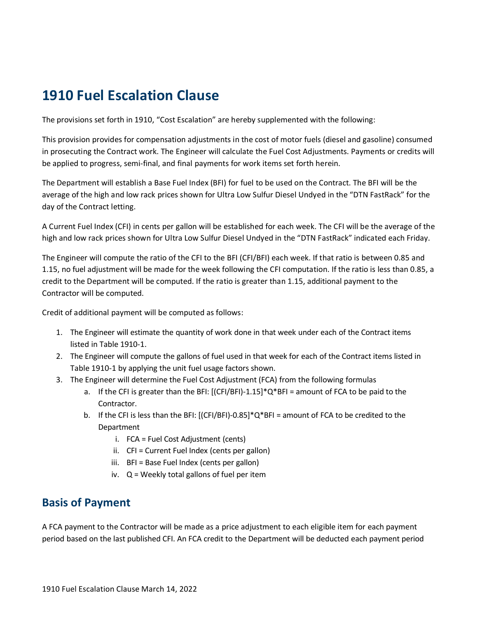## **1910 Fuel Escalation Clause**

The provisions set forth in 1910, "Cost Escalation" are hereby supplemented with the following:

This provision provides for compensation adjustments in the cost of motor fuels (diesel and gasoline) consumed in prosecuting the Contract work. The Engineer will calculate the Fuel Cost Adjustments. Payments or credits will be applied to progress, semi-final, and final payments for work items set forth herein.

The Department will establish a Base Fuel Index (BFI) for fuel to be used on the Contract. The BFI will be the average of the high and low rack prices shown for Ultra Low Sulfur Diesel Undyed in the "DTN FastRack" for the day of the Contract letting.

A Current Fuel Index (CFI) in cents per gallon will be established for each week. The CFI will be the average of the high and low rack prices shown for Ultra Low Sulfur Diesel Undyed in the "DTN FastRack" indicated each Friday.

The Engineer will compute the ratio of the CFI to the BFI (CFI/BFI) each week. If that ratio is between 0.85 and 1.15, no fuel adjustment will be made for the week following the CFI computation. If the ratio is less than 0.85, a credit to the Department will be computed. If the ratio is greater than 1.15, additional payment to the Contractor will be computed.

Credit of additional payment will be computed as follows:

- 1. The Engineer will estimate the quantity of work done in that week under each of the Contract items listed in Table 1910-1.
- 2. The Engineer will compute the gallons of fuel used in that week for each of the Contract items listed in Table 1910-1 by applying the unit fuel usage factors shown.
- 3. The Engineer will determine the Fuel Cost Adjustment (FCA) from the following formulas
	- a. If the CFI is greater than the BFI:  $[(CFI/BFI)-1.15]^*Q^*BFI =$  amount of FCA to be paid to the Contractor.
	- b. If the CFI is less than the BFI:  $[(CF/BFI)-0.85]^*Q*BFI =$  amount of FCA to be credited to the Department
		- i. FCA = Fuel Cost Adjustment (cents)
		- ii. CFI = Current Fuel Index (cents per gallon)
		- iii. BFI = Base Fuel Index (cents per gallon)
		- iv. Q = Weekly total gallons of fuel per item

## **Basis of Payment**

A FCA payment to the Contractor will be made as a price adjustment to each eligible item for each payment period based on the last published CFI. An FCA credit to the Department will be deducted each payment period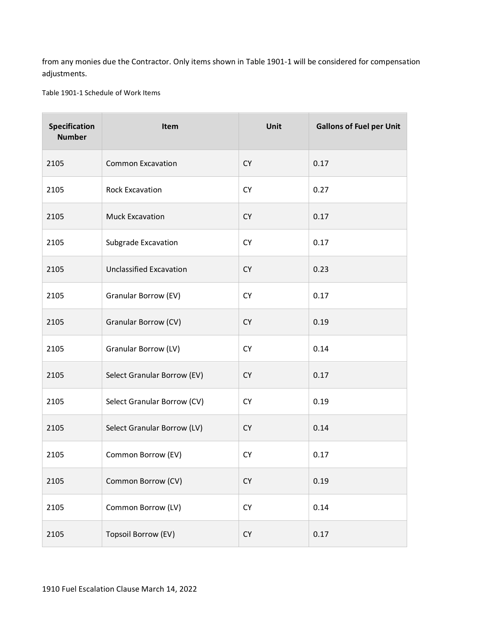from any monies due the Contractor. Only items shown in Table 1901-1 will be considered for compensation adjustments.

Table 1901-1 Schedule of Work Items

| Specification<br><b>Number</b> | Item                           | Unit      | <b>Gallons of Fuel per Unit</b> |
|--------------------------------|--------------------------------|-----------|---------------------------------|
| 2105                           | <b>Common Excavation</b>       | <b>CY</b> | 0.17                            |
| 2105                           | <b>Rock Excavation</b>         | <b>CY</b> | 0.27                            |
| 2105                           | <b>Muck Excavation</b>         | <b>CY</b> | 0.17                            |
| 2105                           | Subgrade Excavation            | <b>CY</b> | 0.17                            |
| 2105                           | <b>Unclassified Excavation</b> | <b>CY</b> | 0.23                            |
| 2105                           | Granular Borrow (EV)           | <b>CY</b> | 0.17                            |
| 2105                           | Granular Borrow (CV)           | <b>CY</b> | 0.19                            |
| 2105                           | Granular Borrow (LV)           | <b>CY</b> | 0.14                            |
| 2105                           | Select Granular Borrow (EV)    | <b>CY</b> | 0.17                            |
| 2105                           | Select Granular Borrow (CV)    | <b>CY</b> | 0.19                            |
| 2105                           | Select Granular Borrow (LV)    | <b>CY</b> | 0.14                            |
| 2105                           | Common Borrow (EV)             | <b>CY</b> | 0.17                            |
| 2105                           | Common Borrow (CV)             | <b>CY</b> | 0.19                            |
| 2105                           | Common Borrow (LV)             | <b>CY</b> | 0.14                            |
| 2105                           | Topsoil Borrow (EV)            | <b>CY</b> | 0.17                            |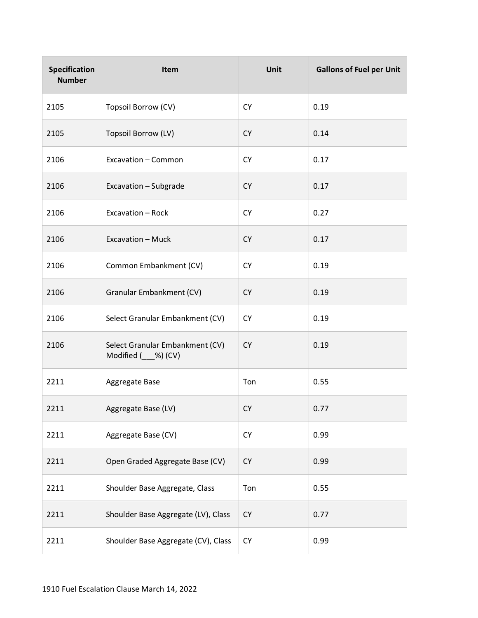| Specification<br><b>Number</b> | Item                                                    | Unit      | <b>Gallons of Fuel per Unit</b> |
|--------------------------------|---------------------------------------------------------|-----------|---------------------------------|
| 2105                           | Topsoil Borrow (CV)                                     | <b>CY</b> | 0.19                            |
| 2105                           | Topsoil Borrow (LV)                                     | <b>CY</b> | 0.14                            |
| 2106                           | Excavation - Common                                     | <b>CY</b> | 0.17                            |
| 2106                           | Excavation - Subgrade                                   | <b>CY</b> | 0.17                            |
| 2106                           | Excavation - Rock                                       | <b>CY</b> | 0.27                            |
| 2106                           | Excavation - Muck                                       | <b>CY</b> | 0.17                            |
| 2106                           | Common Embankment (CV)                                  | <b>CY</b> | 0.19                            |
| 2106                           | Granular Embankment (CV)                                | <b>CY</b> | 0.19                            |
| 2106                           | Select Granular Embankment (CV)                         | <b>CY</b> | 0.19                            |
| 2106                           | Select Granular Embankment (CV)<br>Modified (___%) (CV) | <b>CY</b> | 0.19                            |
| 2211                           | Aggregate Base                                          | Ton       | 0.55                            |
| 2211                           | Aggregate Base (LV)                                     | <b>CY</b> | 0.77                            |
| 2211                           | Aggregate Base (CV)                                     | <b>CY</b> | 0.99                            |
| 2211                           | Open Graded Aggregate Base (CV)                         | <b>CY</b> | 0.99                            |
| 2211                           | Shoulder Base Aggregate, Class                          | Ton       | 0.55                            |
| 2211                           | Shoulder Base Aggregate (LV), Class                     | <b>CY</b> | 0.77                            |
| 2211                           | Shoulder Base Aggregate (CV), Class                     | <b>CY</b> | 0.99                            |